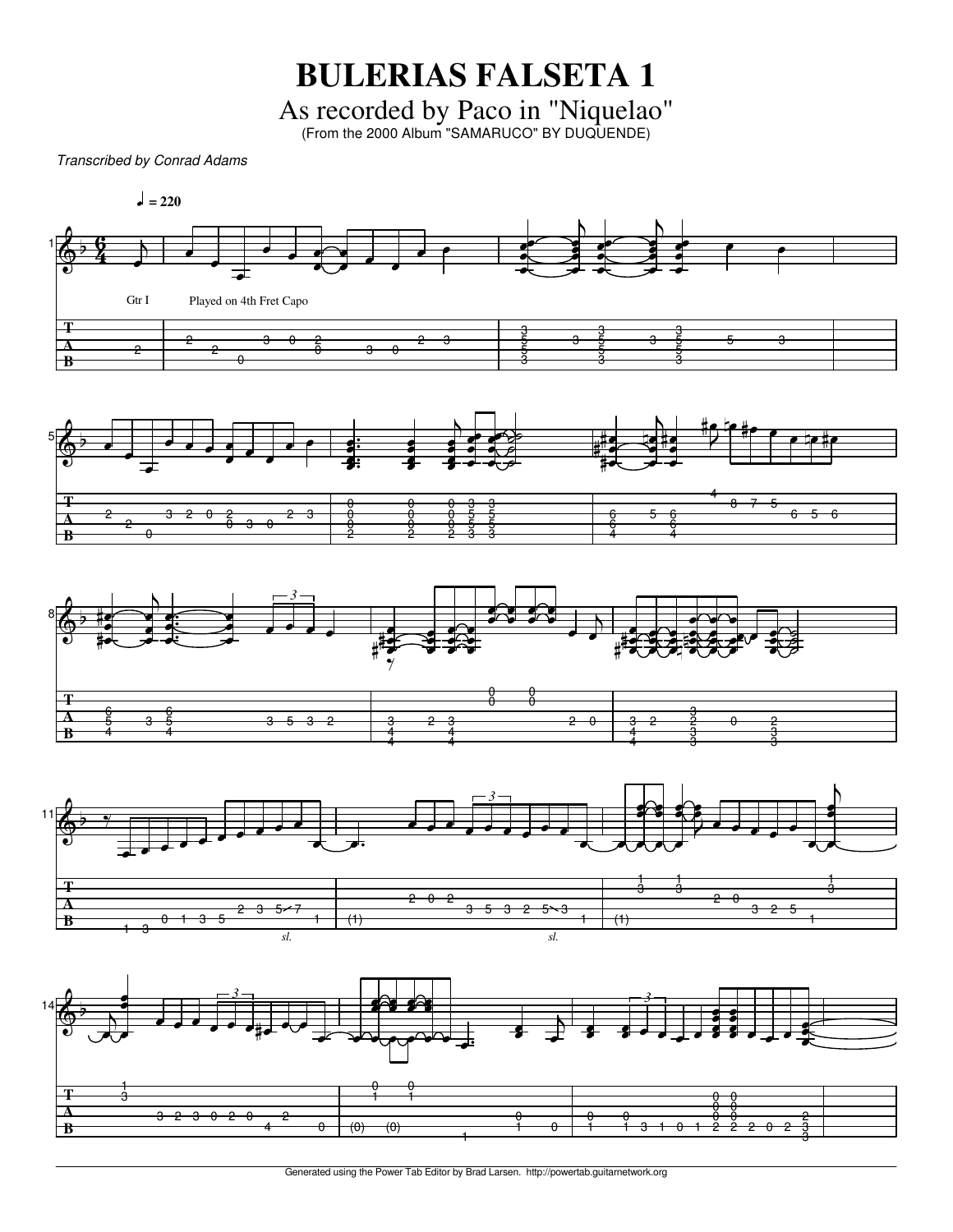**BULERIAS FALSETA 1**

As recorded by Paco in "Niquelao" (From the 2000 Album "SAMARUCO" BY DUQUENDE)

*Transcribed by Conrad Adams*



Generated using the Power Tab Editor by Brad Larsen. http://powertab.guitarnetwork.org